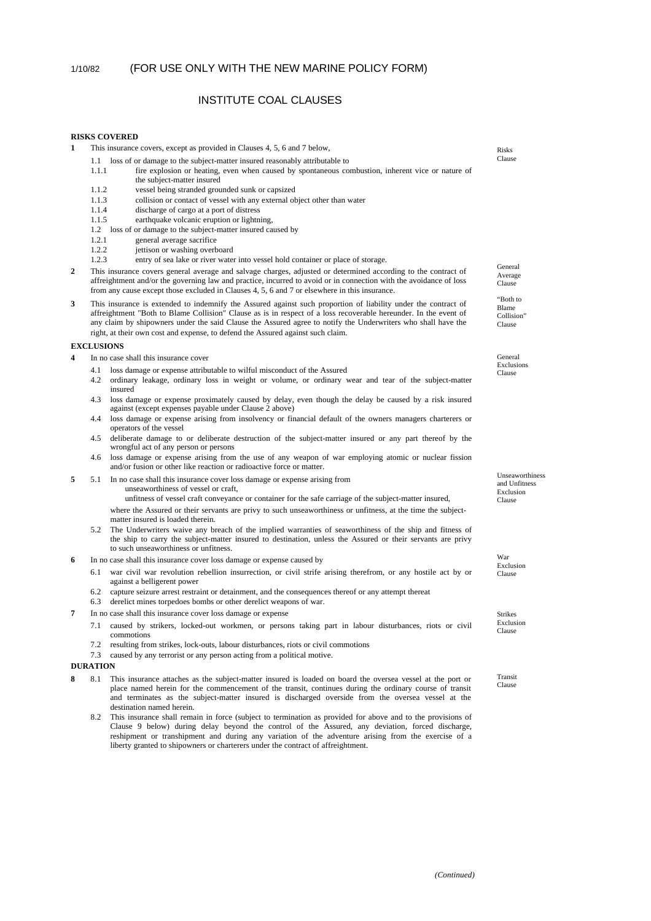# INSTITUTE COAL CLAUSES

### **RISKS COVERED**

- **1** This insurance covers, except as provided in Clauses 4, 5, 6 and 7 below,
	- 1.1 loss of or damage to the subject-matter insured reasonably attributable to
	- 1.1.1 fire explosion or heating, even when caused by spontaneous combustion, inherent vice or nature of the subject-matter insured
	- 1.1.2 vessel being stranded grounded sunk or capsized<br>1.1.3 collision or contact of vessel with any external of
	- 1.1.3 collision or contact of vessel with any external object other than water 1.1.4 discharge of cargo at a port of distress
	- discharge of cargo at a port of distress
	- 1.1.5 earthquake volcanic eruption or lightning,
	- 1.2 loss of or damage to the subject-matter insured caused by
	- 1.2.1 general average sacrifice
	- 1.2.2 iettison or washing overboard
	- 1.2.3 entry of sea lake or river water into vessel hold container or place of storage.
- **2** This insurance covers general average and salvage charges, adjusted or determined according to the contract of affreightment and/or the governing law and practice, incurred to avoid or in connection with the avoidance of loss from any cause except those excluded in Clauses 4, 5, 6 and 7 or elsewhere in this insurance.
- **3** This insurance is extended to indemnify the Assured against such proportion of liability under the contract of affreightment "Both to Blame Collision" Clause as is in respect of a loss recoverable hereunder. In the event of any claim by shipowners under the said Clause the Assured agree to notify the Underwriters who shall have the right, at their own cost and expense, to defend the Assured against such claim.

#### **EXCLUSIONS**

- **4** In no case shall this insurance cover
	- 4.1 loss damage or expense attributable to wilful misconduct of the Assured
	- 4.2 ordinary leakage, ordinary loss in weight or volume, or ordinary wear and tear of the subject-matter insured
	- 4.3 loss damage or expense proximately caused by delay, even though the delay be caused by a risk insured against (except expenses payable under Clause 2 above)
	- 4.4 loss damage or expense arising from insolvency or financial default of the owners managers charterers or operators of the vessel
	- 4.5 deliberate damage to or deliberate destruction of the subject-matter insured or any part thereof by the wrongful act of any person or persons
	- 4.6 loss damage or expense arising from the use of any weapon of war employing atomic or nuclear fission and/or fusion or other like reaction or radioactive force or matter.
- **5** 5.1 In no case shall this insurance cover loss damage or expense arising from unseaworthiness of vessel or craft,

unfitness of vessel craft conveyance or container for the safe carriage of the subject-matter insured,

- where the Assured or their servants are privy to such unseaworthiness or unfitness, at the time the subjectmatter insured is loaded therein.
- 5.2 The Underwriters waive any breach of the implied warranties of seaworthiness of the ship and fitness of the ship to carry the subject-matter insured to destination, unless the Assured or their servants are privy to such unseaworthiness or unfitness.
- **6** In no case shall this insurance cover loss damage or expense caused by
	- 6.1 war civil war revolution rebellion insurrection, or civil strife arising therefrom, or any hostile act by or against a belligerent power
	- 6.2 capture seizure arrest restraint or detainment, and the consequences thereof or any attempt thereat
	- 6.3 derelict mines torpedoes bombs or other derelict weapons of war.
- **7** In no case shall this insurance cover loss damage or expense
	- 7.1 caused by strikers, locked-out workmen, or persons taking part in labour disturbances, riots or civil commotions
	- 7.2 resulting from strikes, lock-outs, labour disturbances, riots or civil commotions
	- 7.3 caused by any terrorist or any person acting from a political motive.

## **DURATION**

- **8** 8.1 This insurance attaches as the subject-matter insured is loaded on board the oversea vessel at the port or place named herein for the commencement of the transit, continues during the ordinary course of transit and terminates as the subject-matter insured is discharged overside from the oversea vessel at the destination named herein.
	- 8.2 This insurance shall remain in force (subject to termination as provided for above and to the provisions of Clause 9 below) during delay beyond the control of the Assured, any deviation, forced discharge, reshipment or transhipment and during any variation of the adventure arising from the exercise of a liberty granted to shipowners or charterers under the contract of affreightment.

Risks Clause

General Average Clause

"Both to Blame Collision" Clause

General Exclusions Clause

**Unseaworthiness** and Unfitness Exclusion Clause

War Exclusion Clause

Strikes Exclusion Clause

Transit Clause